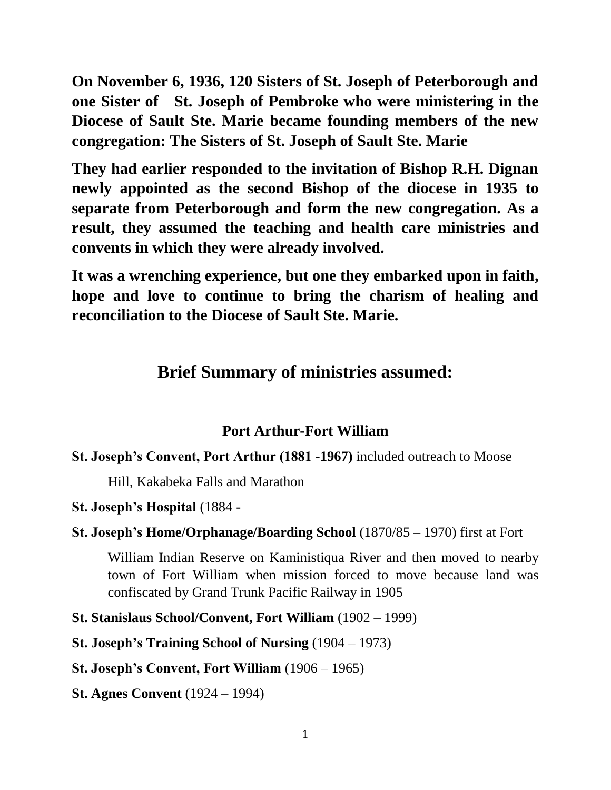**On November 6, 1936, 120 Sisters of St. Joseph of Peterborough and one Sister of St. Joseph of Pembroke who were ministering in the Diocese of Sault Ste. Marie became founding members of the new congregation: The Sisters of St. Joseph of Sault Ste. Marie**

**They had earlier responded to the invitation of Bishop R.H. Dignan newly appointed as the second Bishop of the diocese in 1935 to separate from Peterborough and form the new congregation. As a result, they assumed the teaching and health care ministries and convents in which they were already involved.** 

**It was a wrenching experience, but one they embarked upon in faith, hope and love to continue to bring the charism of healing and reconciliation to the Diocese of Sault Ste. Marie.**

# **Brief Summary of ministries assumed:**

## **Port Arthur-Fort William**

#### **St. Joseph's Convent, Port Arthur (1881 -1967)** included outreach to Moose

Hill, Kakabeka Falls and Marathon

#### **St. Joseph's Hospital** (1884 -

#### **St. Joseph's Home/Orphanage/Boarding School** (1870/85 – 1970) first at Fort

William Indian Reserve on Kaministiqua River and then moved to nearby town of Fort William when mission forced to move because land was confiscated by Grand Trunk Pacific Railway in 1905

**St. Stanislaus School/Convent, Fort William** (1902 – 1999)

**St. Joseph's Training School of Nursing** (1904 – 1973)

**St. Joseph's Convent, Fort William** (1906 – 1965)

**St. Agnes Convent** (1924 – 1994)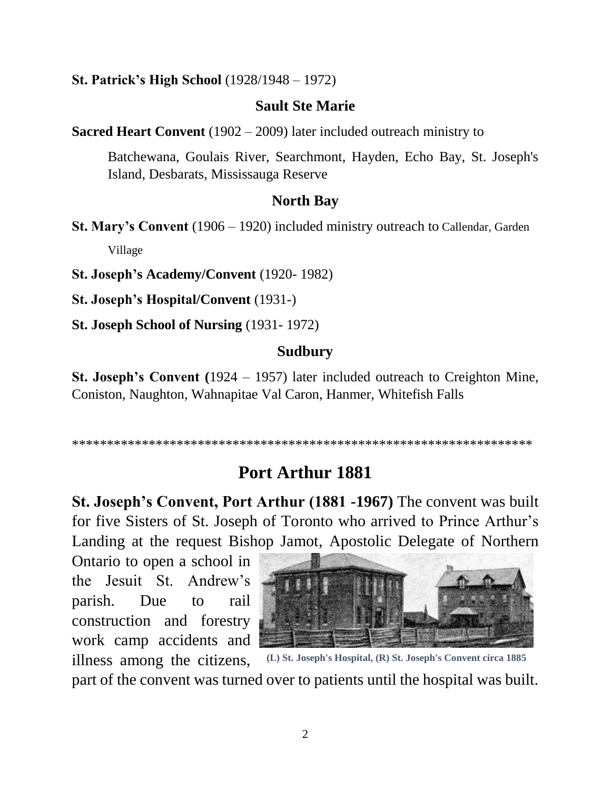#### **St. Patrick's High School** (1928/1948 – 1972)

#### **Sault Ste Marie**

**Sacred Heart Convent** (1902 – 2009) later included outreach ministry to

Batchewana, Goulais River, Searchmont, Hayden, Echo Bay, St. Joseph's Island, Desbarats, Mississauga Reserve

#### **North Bay**

**St. Mary's Convent** (1906 – 1920) included ministry outreach to Callendar, Garden Village

**St. Joseph's Academy/Convent** (1920- 1982)

**St. Joseph's Hospital/Convent** (1931-)

**St. Joseph School of Nursing** (1931- 1972)

#### **Sudbury**

**St. Joseph's Convent (**1924 – 1957) later included outreach to Creighton Mine, Coniston, Naughton, Wahnapitae Val Caron, Hanmer, Whitefish Falls

\*\*\*\*\*\*\*\*\*\*\*\*\*\*\*\*\*\*\*\*\*\*\*\*\*\*\*\*\*\*\*\*\*\*\*\*\*\*\*\*\*\*\*\*\*\*\*\*\*\*\*\*\*\*\*\*\*\*\*\*\*\*\*\*\*\*

# **Port Arthur 1881**

**St. Joseph's Convent, Port Arthur (1881 -1967)** The convent was built for five Sisters of St. Joseph of Toronto who arrived to Prince Arthur's Landing at the request Bishop Jamot, Apostolic Delegate of Northern

Ontario to open a school in the Jesuit St. Andrew's parish. Due to rail construction and forestry work camp accidents and illness among the citizens,



part of the convent was turned over to patients until the hospital was built.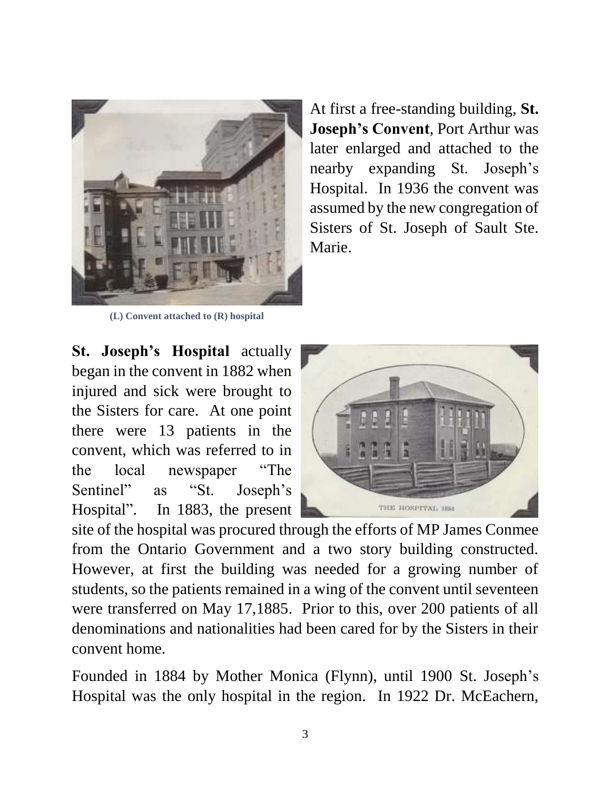

At first a free-standing building, **St. Joseph's Convent**, Port Arthur was later enlarged and attached to the nearby expanding St. Joseph's Hospital. In 1936 the convent was assumed by the new congregation of Sisters of St. Joseph of Sault Ste. Marie.

**(L) Convent attached to (R) hospital**

**St. Joseph's Hospital** actually began in the convent in 1882 when injured and sick were brought to the Sisters for care. At one point there were 13 patients in the convent, which was referred to in the local newspaper "The Sentinel" as "St. Joseph's Hospital". In 1883, the present



site of the hospital was procured through the efforts of MP James Conmee from the Ontario Government and a two story building constructed. However, at first the building was needed for a growing number of students, so the patients remained in a wing of the convent until seventeen were transferred on May 17,1885. Prior to this, over 200 patients of all denominations and nationalities had been cared for by the Sisters in their convent home.

Founded in 1884 by Mother Monica (Flynn), until 1900 St. Joseph's Hospital was the only hospital in the region. In 1922 Dr. McEachern,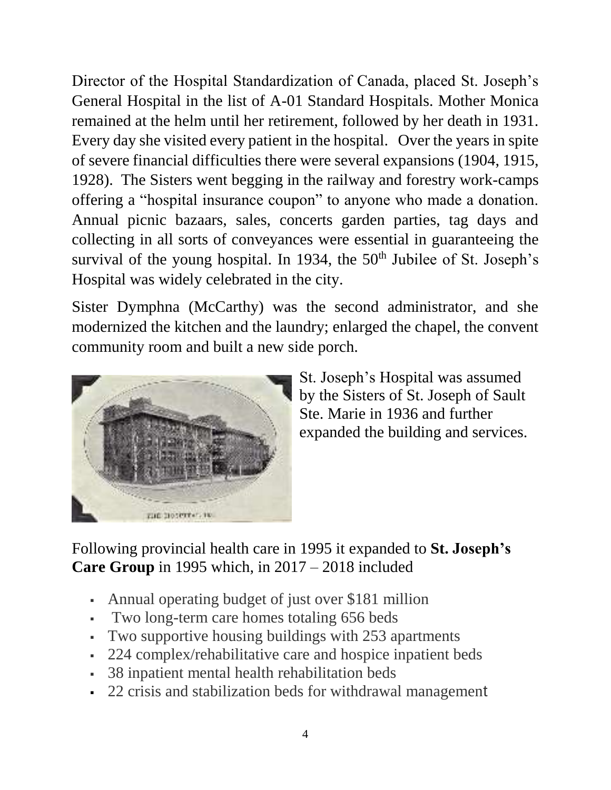Director of the Hospital Standardization of Canada, placed St. Joseph's General Hospital in the list of A-01 Standard Hospitals. Mother Monica remained at the helm until her retirement, followed by her death in 1931. Every day she visited every patient in the hospital. Over the years in spite of severe financial difficulties there were several expansions (1904, 1915, 1928). The Sisters went begging in the railway and forestry work-camps offering a "hospital insurance coupon" to anyone who made a donation. Annual picnic bazaars, sales, concerts garden parties, tag days and collecting in all sorts of conveyances were essential in guaranteeing the survival of the young hospital. In 1934, the 50<sup>th</sup> Jubilee of St. Joseph's Hospital was widely celebrated in the city.

Sister Dymphna (McCarthy) was the second administrator, and she modernized the kitchen and the laundry; enlarged the chapel, the convent community room and built a new side porch.



St. Joseph's Hospital was assumed by the Sisters of St. Joseph of Sault Ste. Marie in 1936 and further expanded the building and services.

## Following provincial health care in 1995 it expanded to **St. Joseph's Care Group** in 1995 which, in 2017 – 2018 included

- Annual operating budget of just over \$181 million
- Two long-term care homes totaling 656 beds
- Two supportive housing buildings with 253 apartments
- 224 complex/rehabilitative care and hospice inpatient beds
- 38 inpatient mental health rehabilitation beds
- 22 crisis and stabilization beds for withdrawal management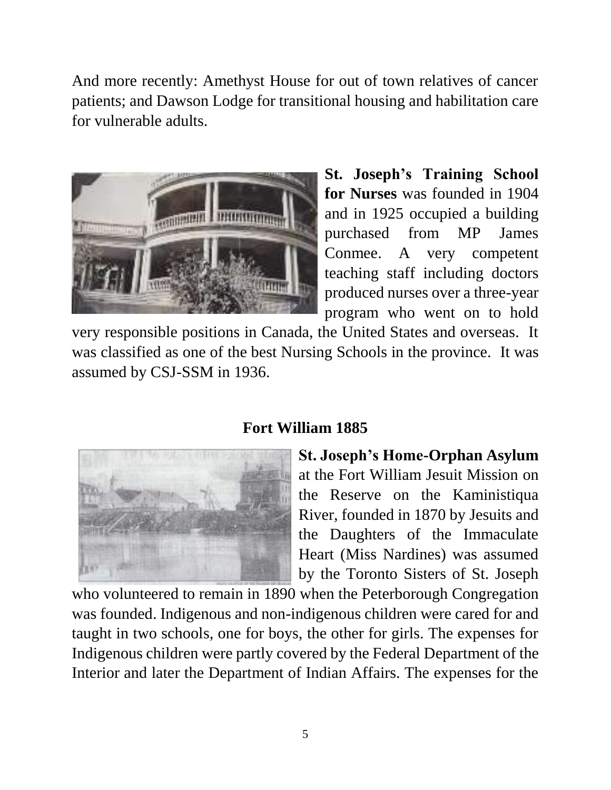And more recently: Amethyst House for out of town relatives of cancer patients; and Dawson Lodge for transitional housing and habilitation care for vulnerable adults.



**St. Joseph's Training School for Nurses** was founded in 1904 and in 1925 occupied a building purchased from MP James Conmee. A very competent teaching staff including doctors produced nurses over a three-year program who went on to hold

very responsible positions in Canada, the United States and overseas. It was classified as one of the best Nursing Schools in the province. It was assumed by CSJ-SSM in 1936.

## **Fort William 1885**



**St. Joseph's Home-Orphan Asylum**  at the Fort William Jesuit Mission on the Reserve on the Kaministiqua River, founded in 1870 by Jesuits and the Daughters of the Immaculate Heart (Miss Nardines) was assumed by the Toronto Sisters of St. Joseph

who volunteered to remain in 1890 when the Peterborough Congregation was founded. Indigenous and non-indigenous children were cared for and taught in two schools, one for boys, the other for girls. The expenses for Indigenous children were partly covered by the Federal Department of the Interior and later the Department of Indian Affairs. The expenses for the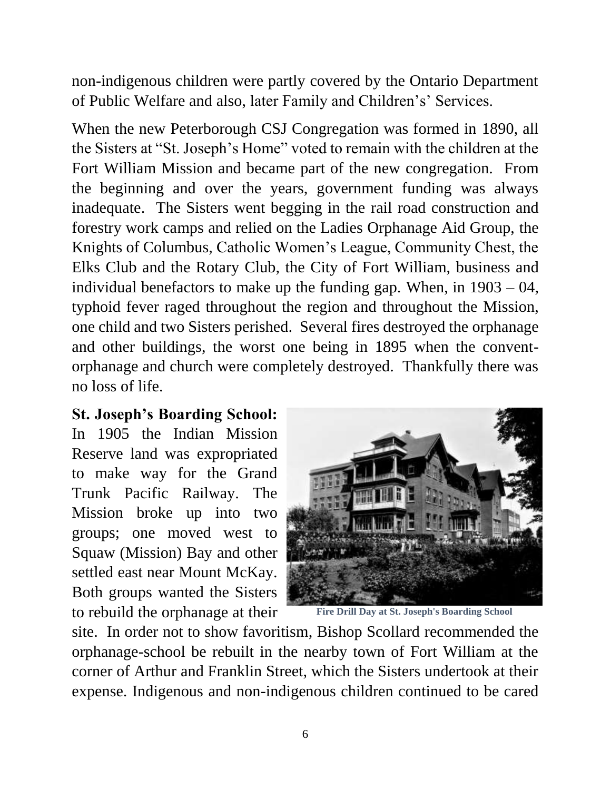non-indigenous children were partly covered by the Ontario Department of Public Welfare and also, later Family and Children's' Services.

When the new Peterborough CSJ Congregation was formed in 1890, all the Sisters at "St. Joseph's Home" voted to remain with the children at the Fort William Mission and became part of the new congregation. From the beginning and over the years, government funding was always inadequate. The Sisters went begging in the rail road construction and forestry work camps and relied on the Ladies Orphanage Aid Group, the Knights of Columbus, Catholic Women's League, Community Chest, the Elks Club and the Rotary Club, the City of Fort William, business and individual benefactors to make up the funding gap. When, in  $1903 - 04$ , typhoid fever raged throughout the region and throughout the Mission, one child and two Sisters perished. Several fires destroyed the orphanage and other buildings, the worst one being in 1895 when the conventorphanage and church were completely destroyed. Thankfully there was no loss of life.

## **St. Joseph's Boarding School:**

In 1905 the Indian Mission Reserve land was expropriated to make way for the Grand Trunk Pacific Railway. The Mission broke up into two groups; one moved west to Squaw (Mission) Bay and other settled east near Mount McKay. Both groups wanted the Sisters to rebuild the orphanage at their



**Fire Drill Day at St. Joseph's Boarding School**

site. In order not to show favoritism, Bishop Scollard recommended the orphanage-school be rebuilt in the nearby town of Fort William at the corner of Arthur and Franklin Street, which the Sisters undertook at their expense. Indigenous and non-indigenous children continued to be cared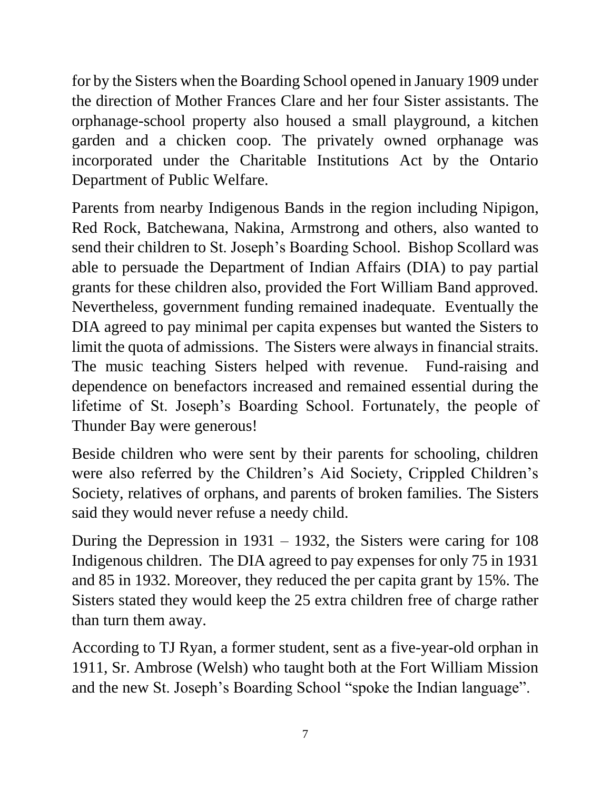for by the Sisters when the Boarding School opened in January 1909 under the direction of Mother Frances Clare and her four Sister assistants. The orphanage-school property also housed a small playground, a kitchen garden and a chicken coop. The privately owned orphanage was incorporated under the Charitable Institutions Act by the Ontario Department of Public Welfare.

Parents from nearby Indigenous Bands in the region including Nipigon, Red Rock, Batchewana, Nakina, Armstrong and others, also wanted to send their children to St. Joseph's Boarding School. Bishop Scollard was able to persuade the Department of Indian Affairs (DIA) to pay partial grants for these children also, provided the Fort William Band approved. Nevertheless, government funding remained inadequate. Eventually the DIA agreed to pay minimal per capita expenses but wanted the Sisters to limit the quota of admissions. The Sisters were always in financial straits. The music teaching Sisters helped with revenue. Fund-raising and dependence on benefactors increased and remained essential during the lifetime of St. Joseph's Boarding School. Fortunately, the people of Thunder Bay were generous!

Beside children who were sent by their parents for schooling, children were also referred by the Children's Aid Society, Crippled Children's Society, relatives of orphans, and parents of broken families. The Sisters said they would never refuse a needy child.

During the Depression in 1931 – 1932, the Sisters were caring for 108 Indigenous children. The DIA agreed to pay expenses for only 75 in 1931 and 85 in 1932. Moreover, they reduced the per capita grant by 15%. The Sisters stated they would keep the 25 extra children free of charge rather than turn them away.

According to TJ Ryan, a former student, sent as a five-year-old orphan in 1911, Sr. Ambrose (Welsh) who taught both at the Fort William Mission and the new St. Joseph's Boarding School "spoke the Indian language".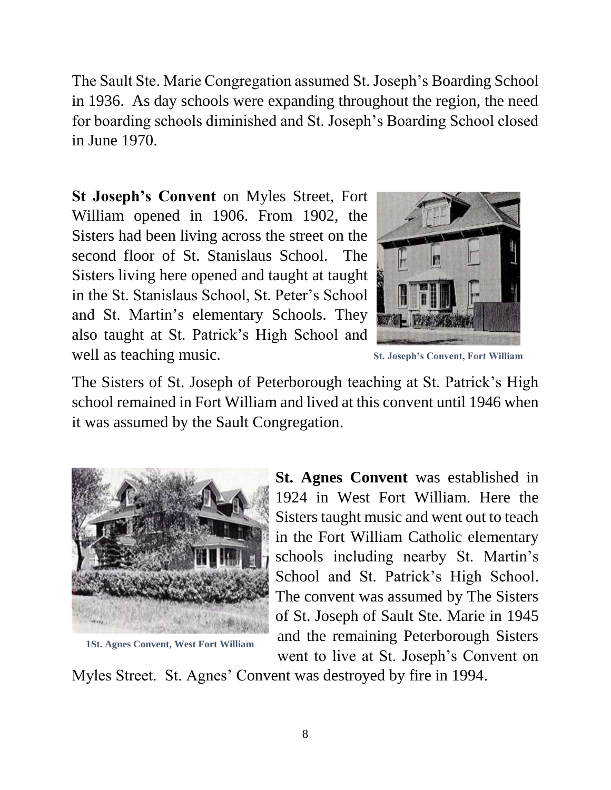The Sault Ste. Marie Congregation assumed St. Joseph's Boarding School in 1936. As day schools were expanding throughout the region, the need for boarding schools diminished and St. Joseph's Boarding School closed in June 1970.

**St Joseph's Convent** on Myles Street, Fort William opened in 1906. From 1902, the Sisters had been living across the street on the second floor of St. Stanislaus School. The Sisters living here opened and taught at taught in the St. Stanislaus School, St. Peter's School and St. Martin's elementary Schools. They also taught at St. Patrick's High School and well as teaching music.



**St. Joseph's Convent, Fort William**

The Sisters of St. Joseph of Peterborough teaching at St. Patrick's High school remained in Fort William and lived at this convent until 1946 when it was assumed by the Sault Congregation.



**1St. Agnes Convent, West Fort William**

**St. Agnes Convent** was established in 1924 in West Fort William. Here the Sisters taught music and went out to teach in the Fort William Catholic elementary schools including nearby St. Martin's School and St. Patrick's High School. The convent was assumed by The Sisters of St. Joseph of Sault Ste. Marie in 1945 and the remaining Peterborough Sisters went to live at St. Joseph's Convent on

Myles Street. St. Agnes' Convent was destroyed by fire in 1994.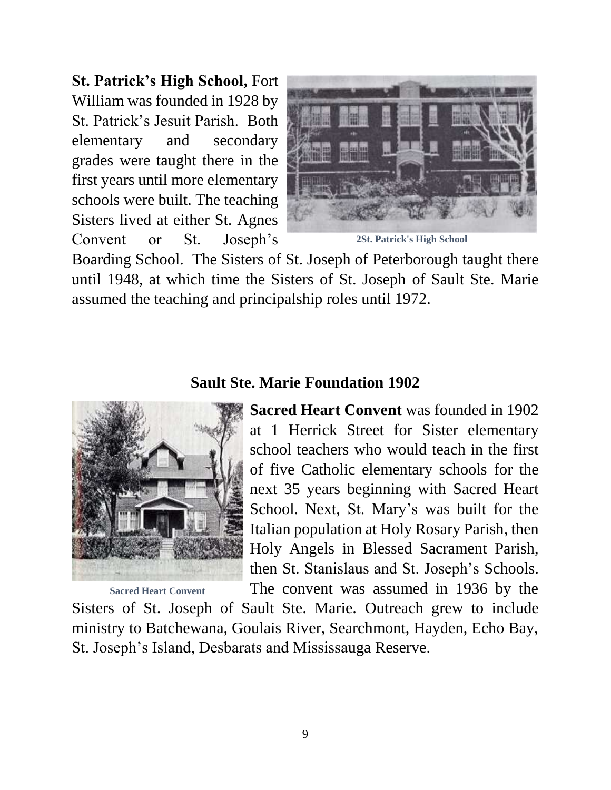**St. Patrick's High School,** Fort William was founded in 1928 by St. Patrick's Jesuit Parish. Both elementary and secondary grades were taught there in the first years until more elementary schools were built. The teaching Sisters lived at either St. Agnes Convent or St. Joseph's



**2St. Patrick's High School**

Boarding School. The Sisters of St. Joseph of Peterborough taught there until 1948, at which time the Sisters of St. Joseph of Sault Ste. Marie assumed the teaching and principalship roles until 1972.

### **Sault Ste. Marie Foundation 1902**



**Sacred Heart Convent**

**Sacred Heart Convent** was founded in 1902 at 1 Herrick Street for Sister elementary school teachers who would teach in the first of five Catholic elementary schools for the next 35 years beginning with Sacred Heart School. Next, St. Mary's was built for the Italian population at Holy Rosary Parish, then Holy Angels in Blessed Sacrament Parish, then St. Stanislaus and St. Joseph's Schools. The convent was assumed in 1936 by the

Sisters of St. Joseph of Sault Ste. Marie. Outreach grew to include ministry to Batchewana, Goulais River, Searchmont, Hayden, Echo Bay, St. Joseph's Island, Desbarats and Mississauga Reserve.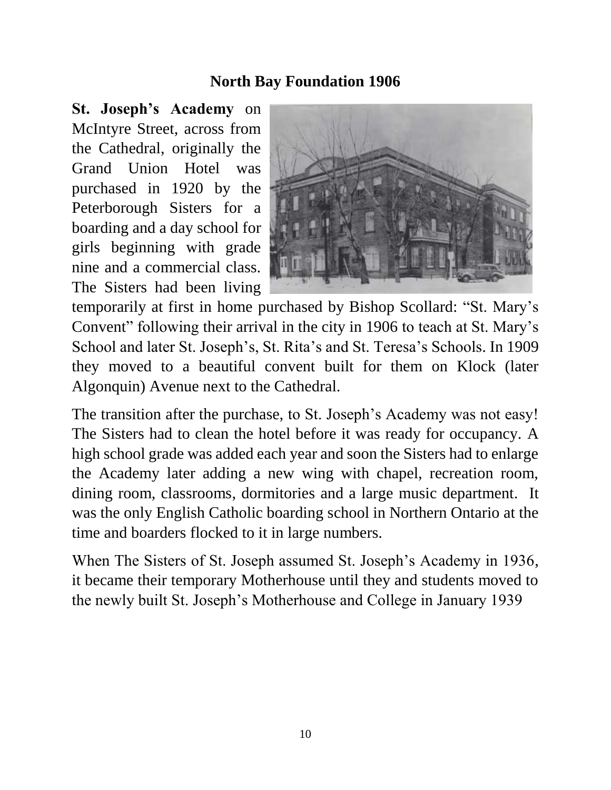## **North Bay Foundation 1906**

**St. Joseph's Academy** on McIntyre Street, across from the Cathedral, originally the Grand Union Hotel was purchased in 1920 by the Peterborough Sisters for a boarding and a day school for girls beginning with grade nine and a commercial class. The Sisters had been living



temporarily at first in home purchased by Bishop Scollard: "St. Mary's Convent" following their arrival in the city in 1906 to teach at St. Mary's School and later St. Joseph's, St. Rita's and St. Teresa's Schools. In 1909 they moved to a beautiful convent built for them on Klock (later Algonquin) Avenue next to the Cathedral.

The transition after the purchase, to St. Joseph's Academy was not easy! The Sisters had to clean the hotel before it was ready for occupancy. A high school grade was added each year and soon the Sisters had to enlarge the Academy later adding a new wing with chapel, recreation room, dining room, classrooms, dormitories and a large music department. It was the only English Catholic boarding school in Northern Ontario at the time and boarders flocked to it in large numbers.

When The Sisters of St. Joseph assumed St. Joseph's Academy in 1936, it became their temporary Motherhouse until they and students moved to the newly built St. Joseph's Motherhouse and College in January 1939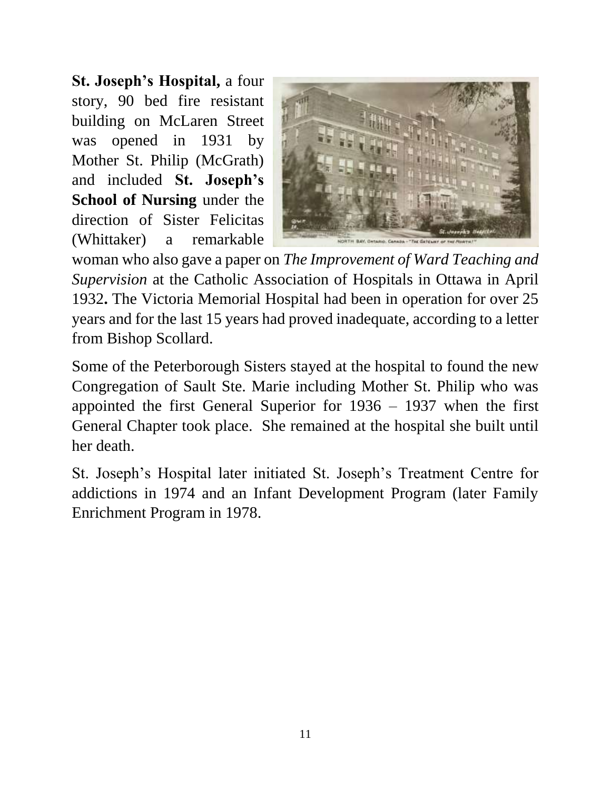**St. Joseph's Hospital,** a four story, 90 bed fire resistant building on McLaren Street was opened in 1931 by Mother St. Philip (McGrath) and included **St. Joseph's School of Nursing** under the direction of Sister Felicitas (Whittaker) a remarkable



woman who also gave a paper on *The Improvement of Ward Teaching and Supervision* at the Catholic Association of Hospitals in Ottawa in April 1932**.** The Victoria Memorial Hospital had been in operation for over 25 years and for the last 15 years had proved inadequate, according to a letter from Bishop Scollard.

Some of the Peterborough Sisters stayed at the hospital to found the new Congregation of Sault Ste. Marie including Mother St. Philip who was appointed the first General Superior for 1936 – 1937 when the first General Chapter took place. She remained at the hospital she built until her death.

St. Joseph's Hospital later initiated St. Joseph's Treatment Centre for addictions in 1974 and an Infant Development Program (later Family Enrichment Program in 1978.